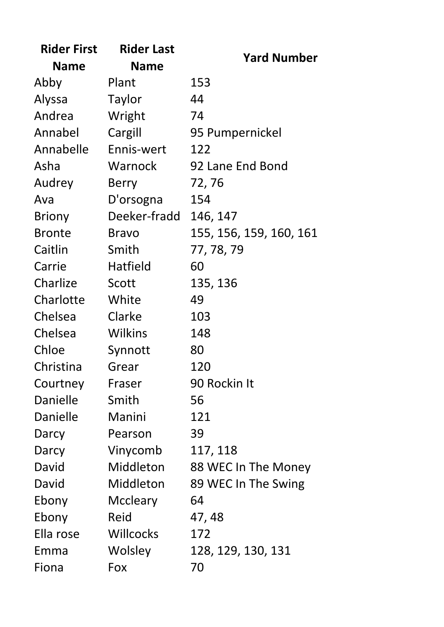| <b>Rider First</b> | <b>Rider Last</b> |                         |
|--------------------|-------------------|-------------------------|
| <b>Name</b>        | <b>Name</b>       | <b>Yard Number</b>      |
| Abby               | Plant             | 153                     |
| Alyssa             | <b>Taylor</b>     | 44                      |
| Andrea             | Wright            | 74                      |
| Annabel            | Cargill           | 95 Pumpernickel         |
| Annabelle          | Ennis-wert        | 122                     |
| Asha               | Warnock           | 92 Lane End Bond        |
| Audrey             | <b>Berry</b>      | 72, 76                  |
| Ava                | D'orsogna         | 154                     |
| Briony             | Deeker-fradd      | 146, 147                |
| <b>Bronte</b>      | <b>Bravo</b>      | 155, 156, 159, 160, 161 |
| Caitlin            | Smith             | 77, 78, 79              |
| Carrie             | Hatfield          | 60                      |
| Charlize           | Scott             | 135, 136                |
| Charlotte          | White             | 49                      |
| Chelsea            | Clarke            | 103                     |
| Chelsea            | <b>Wilkins</b>    | 148                     |
| Chloe              | Synnott           | 80                      |
| Christina          | Grear             | 120                     |
| Courtney           | Fraser            | 90 Rockin It            |
| Danielle           | Smith             | 56                      |
| Danielle           | Manini            | 121                     |
| Darcy              | Pearson           | 39                      |
| Darcy              | Vinycomb          | 117, 118                |
| David              | Middleton         | 88 WEC In The Money     |
| David              | Middleton         | 89 WEC In The Swing     |
| Ebony              | Mccleary          | 64                      |
| Ebony              | Reid              | 47, 48                  |
| Ella rose          | <b>Willcocks</b>  | 172                     |
| Emma               | Wolsley           | 128, 129, 130, 131      |
| Fiona              | Fox               | 70                      |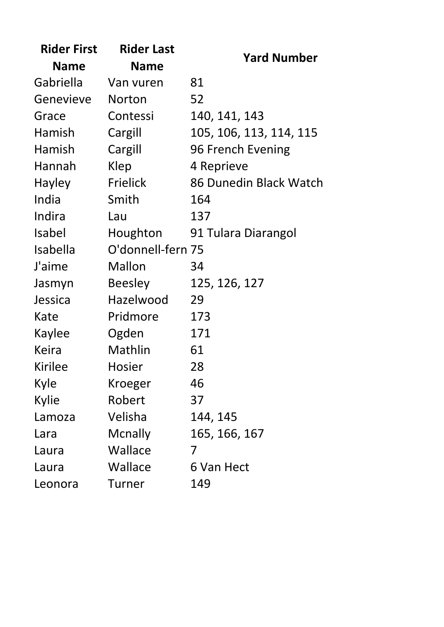| <b>Rider First</b> | <b>Rider Last</b> | <b>Yard Number</b>      |
|--------------------|-------------------|-------------------------|
| <b>Name</b>        | <b>Name</b>       |                         |
| Gabriella          | Van vuren         | 81                      |
| Genevieve          | <b>Norton</b>     | 52                      |
| Grace              | Contessi          | 140, 141, 143           |
| Hamish             | Cargill           | 105, 106, 113, 114, 115 |
| Hamish             | Cargill           | 96 French Evening       |
| Hannah             | Klep              | 4 Reprieve              |
| Hayley             | <b>Frielick</b>   | 86 Dunedin Black Watch  |
| India              | Smith             | 164                     |
| Indira             | Lau               | 137                     |
| <b>Isabel</b>      | Houghton          | 91 Tulara Diarangol     |
| <b>Isabella</b>    | O'donnell-fern 75 |                         |
| J'aime             | Mallon            | 34                      |
| Jasmyn             | <b>Beesley</b>    | 125, 126, 127           |
| Jessica            | Hazelwood         | 29                      |
| Kate               | Pridmore          | 173                     |
| Kaylee             | Ogden             | 171                     |
| <b>Keira</b>       | Mathlin           | 61                      |
| <b>Kirilee</b>     | <b>Hosier</b>     | 28                      |
| Kyle               | Kroeger           | 46                      |
| Kylie              | Robert            | 37                      |
| Lamoza             | Velisha           | 144, 145                |
| Lara               | Mcnally           | 165, 166, 167           |
| Laura              | Wallace           | 7                       |
| Laura              | Wallace           | 6 Van Hect              |
| Leonora            | Turner            | 149                     |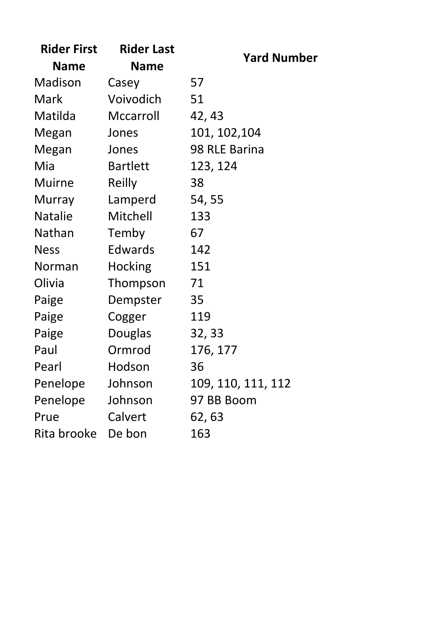| <b>Rider First</b> | <b>Rider Last</b> | <b>Yard Number</b> |
|--------------------|-------------------|--------------------|
| <b>Name</b>        | Name              |                    |
| Madison            | Casey             | 57                 |
| Mark               | Voivodich         | 51                 |
| Matilda            | Mccarroll         | 42, 43             |
| Megan              | Jones             | 101, 102, 104      |
| Megan              | Jones             | 98 RLE Barina      |
| Mia                | <b>Bartlett</b>   | 123, 124           |
| <b>Muirne</b>      | Reilly            | 38                 |
| Murray             | Lamperd           | 54, 55             |
| <b>Natalie</b>     | Mitchell          | 133                |
| Nathan             | Temby             | 67                 |
| <b>Ness</b>        | <b>Edwards</b>    | 142                |
| Norman             | <b>Hocking</b>    | 151                |
| Olivia             | Thompson          | 71                 |
| Paige              | Dempster          | 35                 |
| Paige              | Cogger            | 119                |
| Paige              | <b>Douglas</b>    | 32, 33             |
| Paul               | Ormrod            | 176, 177           |
| Pearl              | Hodson            | 36                 |
| Penelope           | Johnson           | 109, 110, 111, 112 |
| Penelope           | Johnson           | 97 BB Boom         |
| Prue               | Calvert           | 62, 63             |
| Rita brooke        | De bon            | 163                |